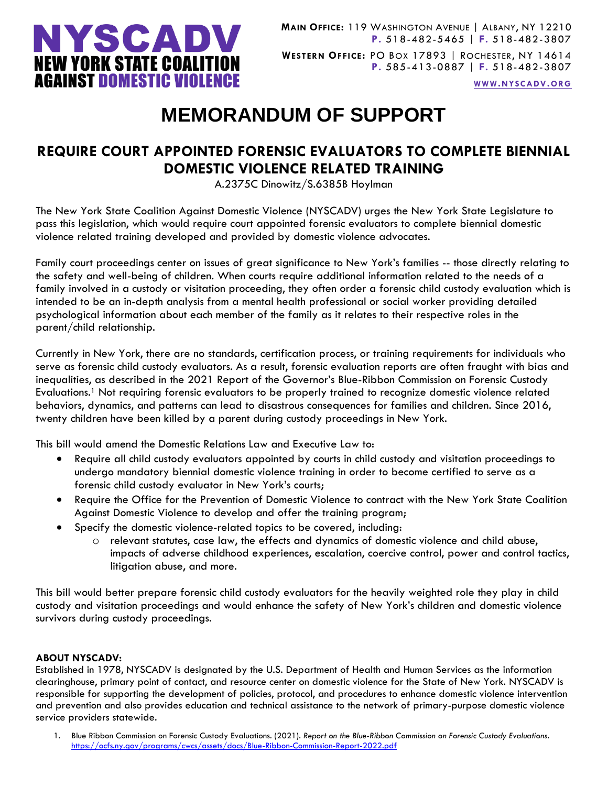

**WWW.[NYSCADV](file://///server/data/Official%20Documents/NYSCADV%20Logo%20&%20Branding/2015%20Letterhead/www.nyscadv.org).ORG**

## **MEMORANDUM OF SUPPORT**

## **REQUIRE COURT APPOINTED FORENSIC EVALUATORS TO COMPLETE BIENNIAL DOMESTIC VIOLENCE RELATED TRAINING**

A.2375C Dinowitz/S.6385B Hoylman

The New York State Coalition Against Domestic Violence (NYSCADV) urges the New York State Legislature to pass this legislation, which would require court appointed forensic evaluators to complete biennial domestic violence related training developed and provided by domestic violence advocates.

Family court proceedings center on issues of great significance to New York's families -- those directly relating to the safety and well-being of children. When courts require additional information related to the needs of a family involved in a custody or visitation proceeding, they often order a forensic child custody evaluation which is intended to be an in-depth analysis from a mental health professional or social worker providing detailed psychological information about each member of the family as it relates to their respective roles in the parent/child relationship.

Currently in New York, there are no standards, certification process, or training requirements for individuals who serve as forensic child custody evaluators. As a result, forensic evaluation reports are often fraught with bias and inequalities, as described in the 2021 Report of the Governor's Blue-Ribbon Commission on Forensic Custody Evaluations.<sup>1</sup> Not requiring forensic evaluators to be properly trained to recognize domestic violence related behaviors, dynamics, and patterns can lead to disastrous consequences for families and children. Since 2016, twenty children have been killed by a parent during custody proceedings in New York.

This bill would amend the Domestic Relations Law and Executive Law to:

- Require all child custody evaluators appointed by courts in child custody and visitation proceedings to undergo mandatory biennial domestic violence training in order to become certified to serve as a forensic child custody evaluator in New York's courts;
- Require the Office for the Prevention of Domestic Violence to contract with the New York State Coalition Against Domestic Violence to develop and offer the training program;
- Specify the domestic violence-related topics to be covered, including:
	- $\circ$  relevant statutes, case law, the effects and dynamics of domestic violence and child abuse, impacts of adverse childhood experiences, escalation, coercive control, power and control tactics, litigation abuse, and more.

This bill would better prepare forensic child custody evaluators for the heavily weighted role they play in child custody and visitation proceedings and would enhance the safety of New York's children and domestic violence survivors during custody proceedings.

## **ABOUT NYSCADV:**

Established in 1978, NYSCADV is designated by the U.S. Department of Health and Human Services as the information clearinghouse, primary point of contact, and resource center on domestic violence for the State of New York. NYSCADV is responsible for supporting the development of policies, protocol, and procedures to enhance domestic violence intervention and prevention and also provides education and technical assistance to the network of primary-purpose domestic violence service providers statewide.

1. Blue Ribbon Commission on Forensic Custody Evaluations. (2021). *Report on the Blue-Ribbon Commission on Forensic Custody Evaluations*. <https://ocfs.ny.gov/programs/cwcs/assets/docs/Blue-Ribbon-Commission-Report-2022.pdf>